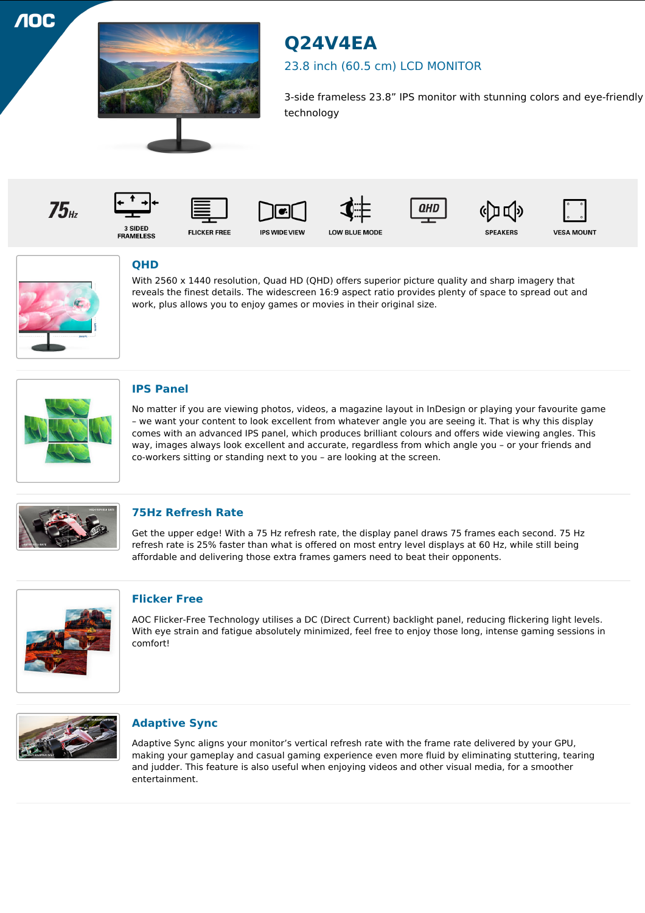**10C** 



# **Q24V4EA**

## 23.8 inch (60.5 cm) LCD MONITOR

3-side frameless 23.8" IPS monitor with stunning colors and eye-friendly technology

















3 SIDED<br>FRAMELESS

**FLICKER FREE** 













# **QHD**

With 2560 x 1440 resolution, Quad HD (QHD) offers superior picture quality and sharp imagery that reveals the finest details. The widescreen 16:9 aspect ratio provides plenty of space to spread out and work, plus allows you to enjoy games or movies in their original size.



## **IPS Panel**

No matter if you are viewing photos, videos, a magazine layout in InDesign or playing your favourite game – we want your content to look excellent from whatever angle you are seeing it. That is why this display comes with an advanced IPS panel, which produces brilliant colours and offers wide viewing angles. This way, images always look excellent and accurate, regardless from which angle you – or your friends and co-workers sitting or standing next to you – are looking at the screen.



## **75Hz Refresh Rate**

Get the upper edge! With a 75 Hz refresh rate, the display panel draws 75 frames each second. 75 Hz refresh rate is 25% faster than what is offered on most entry level displays at 60 Hz, while still being affordable and delivering those extra frames gamers need to beat their opponents.



#### **Flicker Free**

AOC Flicker-Free Technology utilises a DC (Direct Current) backlight panel, reducing flickering light levels. With eye strain and fatigue absolutely minimized, feel free to enjoy those long, intense gaming sessions in comfort!



#### **Adaptive Sync**

Adaptive Sync aligns your monitor's vertical refresh rate with the frame rate delivered by your GPU, making your gameplay and casual gaming experience even more fluid by eliminating stuttering, tearing and judder. This feature is also useful when enjoying videos and other visual media, for a smoother entertainment.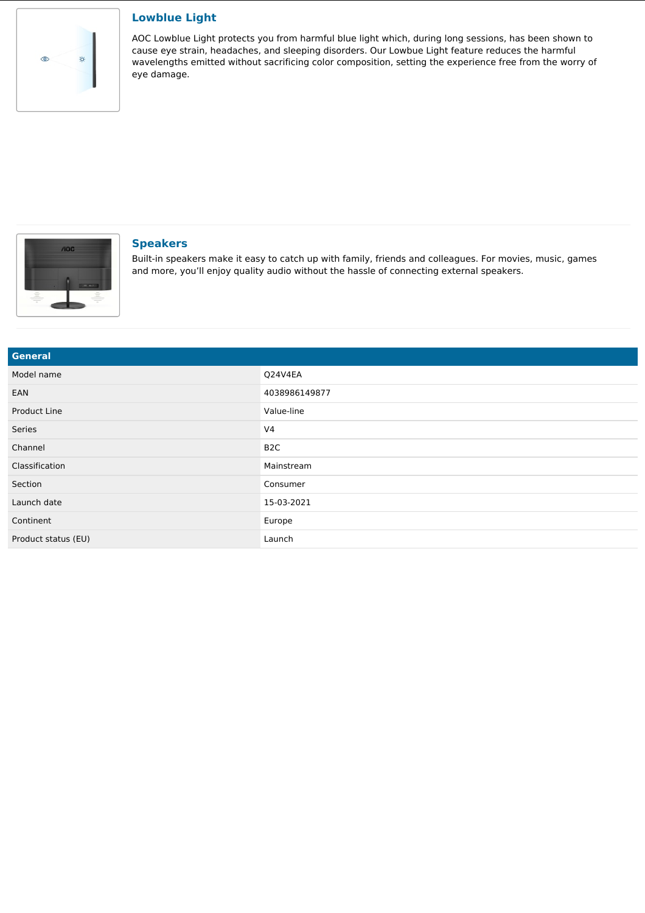

#### **Lowblue Light**

AOC Lowblue Light protects you from harmful blue light which, during long sessions, has been shown to cause eye strain, headaches, and sleeping disorders. Our Lowbue Light feature reduces the harmful wavelengths emitted without sacrificing color composition, setting the experience free from the worry of eye damage.



#### **Speakers**

Built-in speakers make it easy to catch up with family, friends and colleagues. For movies, music, games and more, you'll enjoy quality audio without the hassle of connecting external speakers.

| <b>General</b>      |                  |
|---------------------|------------------|
| Model name          | Q24V4EA          |
| EAN                 | 4038986149877    |
| Product Line        | Value-line       |
| Series              | V <sub>4</sub>   |
| Channel             | B <sub>2</sub> C |
| Classification      | Mainstream       |
| Section             | Consumer         |
| Launch date         | 15-03-2021       |
| Continent           | Europe           |
| Product status (EU) | Launch           |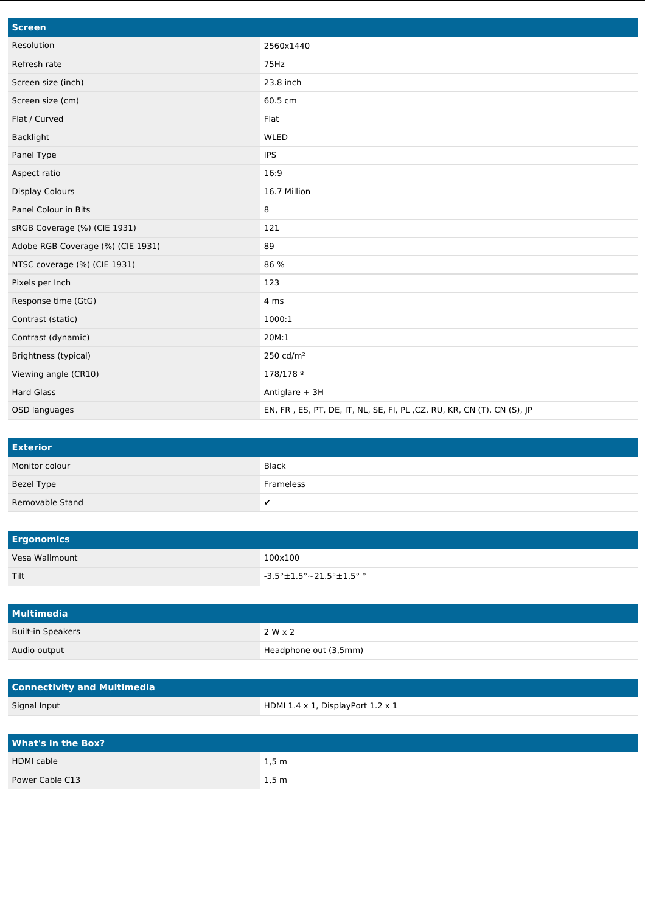| <b>Screen</b>                     |                                                                        |
|-----------------------------------|------------------------------------------------------------------------|
| Resolution                        | 2560x1440                                                              |
| Refresh rate                      | 75Hz                                                                   |
| Screen size (inch)                | 23.8 inch                                                              |
| Screen size (cm)                  | 60.5 cm                                                                |
| Flat / Curved                     | Flat                                                                   |
| Backlight                         | WLED                                                                   |
| Panel Type                        | <b>IPS</b>                                                             |
| Aspect ratio                      | 16:9                                                                   |
| <b>Display Colours</b>            | 16.7 Million                                                           |
| Panel Colour in Bits              | 8                                                                      |
| sRGB Coverage (%) (CIE 1931)      | 121                                                                    |
| Adobe RGB Coverage (%) (CIE 1931) | 89                                                                     |
| NTSC coverage (%) (CIE 1931)      | 86 %                                                                   |
| Pixels per Inch                   | 123                                                                    |
| Response time (GtG)               | 4 ms                                                                   |
| Contrast (static)                 | 1000:1                                                                 |
| Contrast (dynamic)                | 20M:1                                                                  |
| Brightness (typical)              | 250 cd/ $m2$                                                           |
| Viewing angle (CR10)              | 178/178 9                                                              |
| <b>Hard Glass</b>                 | Antiglare + 3H                                                         |
| OSD languages                     | EN, FR, ES, PT, DE, IT, NL, SE, FI, PL, CZ, RU, KR, CN (T), CN (S), JP |

| <b>Exterior</b> |              |
|-----------------|--------------|
| Monitor colour  | <b>Black</b> |
| Bezel Type      | Frameless    |
| Removable Stand | v            |

| <b>Ergonomics</b> |                                                   |
|-------------------|---------------------------------------------------|
| Vesa Wallmount    | 100x100                                           |
| Tilt              | $\sim$ -3.5° $\pm$ 1.5° $\sim$ 21.5° $\pm$ 1.5° ° |

| Multimedia               |                       |
|--------------------------|-----------------------|
| <b>Built-in Speakers</b> | 2 W x 2               |
| Audio output             | Headphone out (3,5mm) |

| <b>Connectivity and Multimedia</b> |                                                  |
|------------------------------------|--------------------------------------------------|
| Signal Input                       | HDMI $1.4 \times 1$ , DisplayPort $1.2 \times 1$ |

| <b>What's in the Box?</b> |                   |
|---------------------------|-------------------|
| <b>HDMI</b> cable         | $1,5 \, \text{m}$ |
| Power Cable C13           | 1,5 m             |